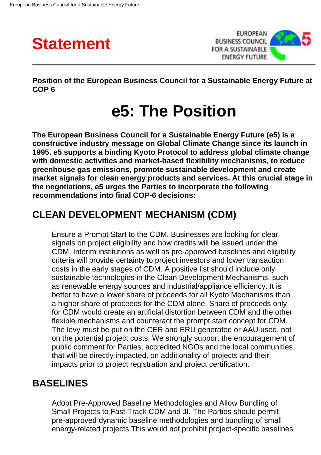



**Position of the European Business Council for a Sustainable Energy Future at COP 6**

# **e5: The Position**

**The European Business Council for a Sustainable Energy Future (e5) is a constructive industry message on Global Climate Change since its launch in 1995. e5 supports a binding Kyoto Protocol to address global climate change with domestic activities and market-based flexibility mechanisms, to reduce greenhouse gas emissions, promote sustainable development and create market signals for clean energy products and services. At this crucial stage in the negotiations, e5 urges the Parties to incorporate the following recommendations into final COP-6 decisions:**

## **CLEAN DEVELOPMENT MECHANISM (CDM)**

Ensure a Prompt Start to the CDM. Businesses are looking for clear signals on project eligibility and how credits will be issued under the CDM. Interim institutions as well as pre-approved baselines and eligibility criteria will provide certainty to project investors and lower transaction costs in the early stages of CDM. A positive list should include only sustainable technologies in the Clean Development Mechanisms, such as renewable energy sources and industrial/appliance efficiency. It is better to have a lower share of proceeds for all Kyoto Mechanisms than a higher share of proceeds for the CDM alone. Share of proceeds only for CDM would create an artificial distortion between CDM and the other flexible mechanisms and counteract the prompt start concept for CDM. The levy must be put on the CER and ERU generated or AAU used, not on the potential project costs. We strongly support the encouragement of public comment for Parties, accredited NGOs and the local communities that will be directly impacted, on additionality of projects and their impacts prior to project registration and project certification.

## **BASELINES**

Adopt Pre-Approved Baseline Methodologies and Allow Bundling of Small Projects to Fast-Track CDM and JI. The Parties should permit pre-approved dynamic baseline methodologies and bundling of small energy-related projects This would not prohibit project-specific baselines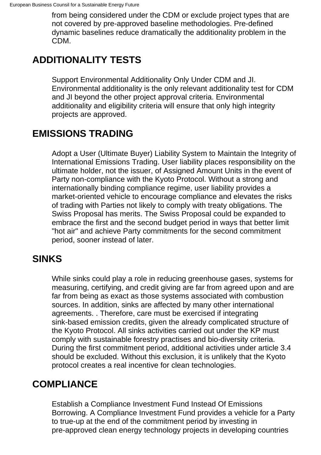from being considered under the CDM or exclude project types that are not covered by pre-approved baseline methodologies. Pre-defined dynamic baselines reduce dramatically the additionality problem in the CDM.

# **ADDITIONALITY TESTS**

Support Environmental Additionality Only Under CDM and JI. Environmental additionality is the only relevant additionality test for CDM and JI beyond the other project approval criteria. Environmental additionality and eligibility criteria will ensure that only high integrity projects are approved.

## **EMISSIONS TRADING**

Adopt a User (Ultimate Buyer) Liability System to Maintain the Integrity of International Emissions Trading. User liability places responsibility on the ultimate holder, not the issuer, of Assigned Amount Units in the event of Party non-compliance with the Kyoto Protocol. Without a strong and internationally binding compliance regime, user liability provides a market-oriented vehicle to encourage compliance and elevates the risks of trading with Parties not likely to comply with treaty obligations. The Swiss Proposal has merits. The Swiss Proposal could be expanded to embrace the first and the second budget period in ways that better limit "hot air" and achieve Party commitments for the second commitment period, sooner instead of later.

## **SINKS**

While sinks could play a role in reducing greenhouse gases, systems for measuring, certifying, and credit giving are far from agreed upon and are far from being as exact as those systems associated with combustion sources. In addition, sinks are affected by many other international agreements. . Therefore, care must be exercised if integrating sink-based emission credits, given the already complicated structure of the Kyoto Protocol. All sinks activities carried out under the KP must comply with sustainable forestry practises and bio-diversity criteria. During the first commitment period, additional activities under article 3.4 should be excluded. Without this exclusion, it is unlikely that the Kyoto protocol creates a real incentive for clean technologies.

## **COMPLIANCE**

Establish a Compliance Investment Fund Instead Of Emissions Borrowing. A Compliance Investment Fund provides a vehicle for a Party to true-up at the end of the commitment period by investing in pre-approved clean energy technology projects in developing countries